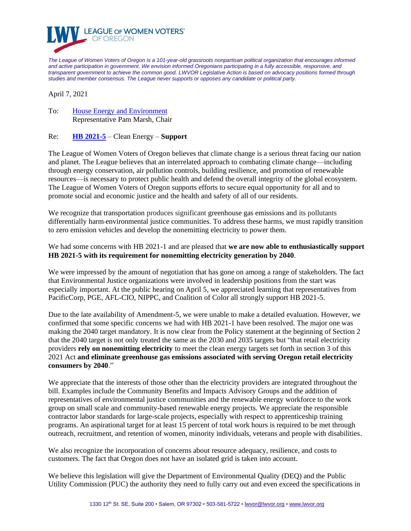

*The League of Women Voters of Oregon is a 101-year-old grassroots nonpartisan political organization that encourages informed and active participation in government. We envision informed Oregonians participating in a fully accessible, responsive, and transparent government to achieve the common good. LWVOR Legislative Action is based on advocacy positions formed through studies and member consensus. The League never supports or opposes any candidate or political party.*

April 7, 2021

To: [House Energy and Environment](https://olis.oregonlegislature.gov/liz/2021R1/Committees/HEE/Overview) Representative Pam Marsh, Chair

## Re: **[HB 2021-5](https://olis.oregonlegislature.gov/liz/2021R1/Measures/Overview/HB2021)** – Clean Energy – **Support**

The League of Women Voters of Oregon believes that climate change is a serious threat facing our nation and planet. The League believes that an interrelated approach to combating climate change—including through energy conservation, air pollution controls, building resilience, and promotion of renewable resources—is necessary to protect public health and defend the overall integrity of the global ecosystem. The League of Women Voters of Oregon supports efforts to secure equal opportunity for all and to promote social and economic justice and the health and safety of all of our residents.

We recognize that transportation produces significant greenhouse gas emissions and its pollutants differentially harm environmental justice communities. To address these harms, we must rapidly transition to zero emission vehicles and develop the nonemitting electricity to power them.

We had some concerns with HB 2021-1 and are pleased that **we are now able to enthusiastically support HB 2021-5 with its requirement for nonemitting electricity generation by 2040**.

We were impressed by the amount of negotiation that has gone on among a range of stakeholders. The fact that Environmental Justice organizations were involved in leadership positions from the start was especially important. At the public hearing on April 5, we appreciated learning that representatives from PacificCorp, PGE, AFL-CIO, NIPPC, and Coalition of Color all strongly support HB 2021-5.

Due to the late availability of Amendment-5, we were unable to make a detailed evaluation. However, we confirmed that some specific concerns we had with HB 2021-1 have been resolved. The major one was making the 2040 target mandatory. It is now clear from the Policy statement at the beginning of Section 2 that the 2040 target is not only treated the same as the 2030 and 2035 targets but "that retail electricity providers **rely on nonemitting electricity** to meet the clean energy targets set forth in section 3 of this 2021 Act **and eliminate greenhouse gas emissions associated with serving Oregon retail electricity consumers by 2040**."

We appreciate that the interests of those other than the electricity providers are integrated throughout the bill. Examples include the Community Benefits and Impacts Advisory Groups and the addition of representatives of environmental justice communities and the renewable energy workforce to the work group on small scale and community-based renewable energy projects. We appreciate the responsible contractor labor standards for large-scale projects, especially with respect to apprenticeship training programs. An aspirational target for at least 15 percent of total work hours is required to be met through outreach, recruitment, and retention of women, minority individuals, veterans and people with disabilities.

We also recognize the incorporation of concerns about resource adequacy, resilience, and costs to customers. The fact that Oregon does not have an isolated grid is taken into account.

We believe this legislation will give the Department of Environmental Quality (DEQ) and the Public Utility Commission (PUC) the authority they need to fully carry out and even exceed the specifications in